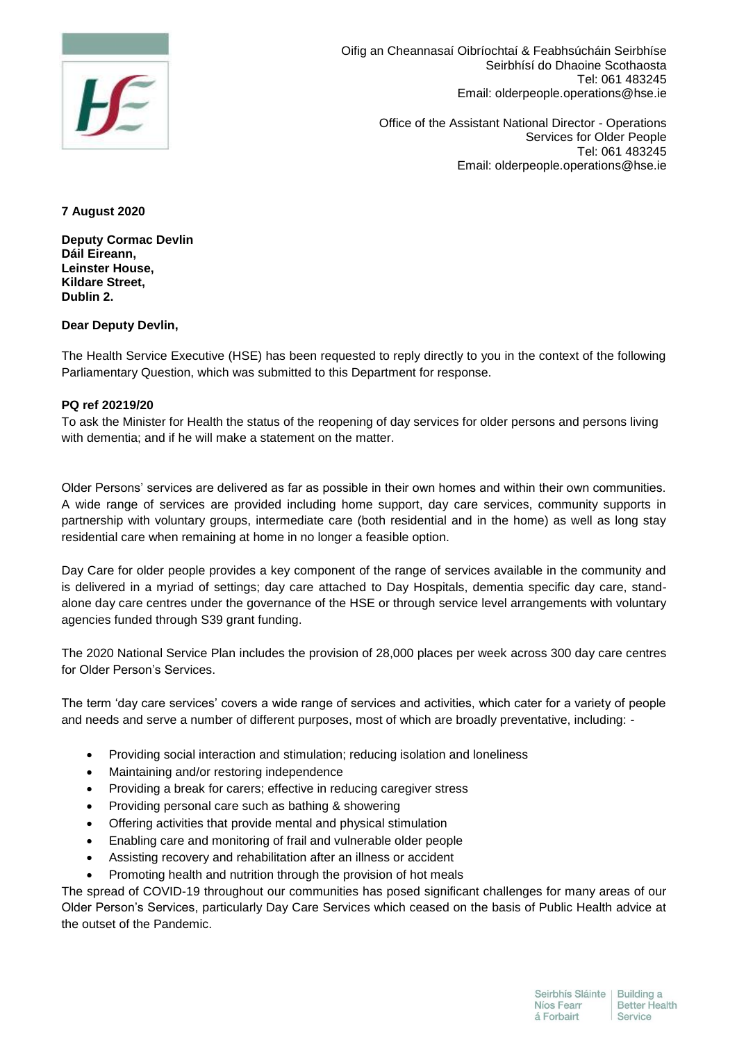

Oifig an Cheannasaí Oibríochtaí & Feabhsúcháin Seirbhíse Seirbhísí do Dhaoine Scothaosta Tel: 061 483245 Email: olderpeople.operations@hse.ie

> Office of the Assistant National Director - Operations Services for Older People Tel: 061 483245 Email: olderpeople.operations@hse.ie

## **7 August 2020**

**Deputy Cormac Devlin Dáil Eireann, Leinster House, Kildare Street, Dublin 2.**

## **Dear Deputy Devlin,**

The Health Service Executive (HSE) has been requested to reply directly to you in the context of the following Parliamentary Question, which was submitted to this Department for response.

## **PQ ref 20219/20**

To ask the Minister for Health the status of the reopening of day services for older persons and persons living with dementia; and if he will make a statement on the matter.

Older Persons' services are delivered as far as possible in their own homes and within their own communities. A wide range of services are provided including home support, day care services, community supports in partnership with voluntary groups, intermediate care (both residential and in the home) as well as long stay residential care when remaining at home in no longer a feasible option.

Day Care for older people provides a key component of the range of services available in the community and is delivered in a myriad of settings; day care attached to Day Hospitals, dementia specific day care, standalone day care centres under the governance of the HSE or through service level arrangements with voluntary agencies funded through S39 grant funding.

The 2020 National Service Plan includes the provision of 28,000 places per week across 300 day care centres for Older Person's Services.

The term 'day care services' covers a wide range of services and activities, which cater for a variety of people and needs and serve a number of different purposes, most of which are broadly preventative, including: -

- Providing social interaction and stimulation; reducing isolation and loneliness
- Maintaining and/or restoring independence
- Providing a break for carers; effective in reducing caregiver stress
- Providing personal care such as bathing & showering
- Offering activities that provide mental and physical stimulation
- Enabling care and monitoring of frail and vulnerable older people
- Assisting recovery and rehabilitation after an illness or accident
- Promoting health and nutrition through the provision of hot meals

The spread of COVID-19 throughout our communities has posed significant challenges for many areas of our Older Person's Services, particularly Day Care Services which ceased on the basis of Public Health advice at the outset of the Pandemic.